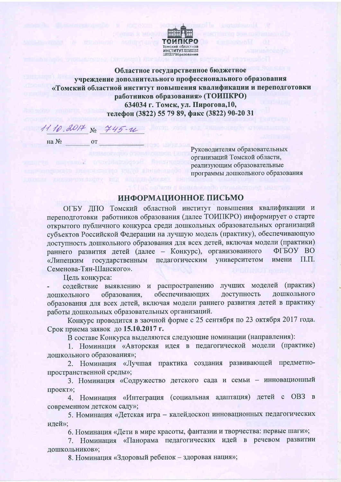

Областное государственное бюджетное учреждение дополнительного профессионального образования «Томский областной институт повышения квалификации и переподготовки работников образования» (ТОИПКРО) 634034 г. Томск, ул. Пирогова, 10, телефон (3822) 55 79 89, факс (3822) 90-20 31

 $11.10.0017$  No  $445 - u$ 

 $Ha N<sub>2</sub>$  or

**IL NATION** 

Руководителям образовательных организаций Томской области, реализующим образовательные программы дошкольного образования

## ИНФОРМАЦИОННОЕ ПИСЬМО

ОГБУ ДПО Томский областной институт повышения квалификации и переподготовки работников образования (далее ТОИПКРО) информирует о старте открытого публичного конкурса среди дошкольных образовательных организаций субъектов Российской Федерации на лучшую модель (практику), обеспечивающую доступность дошкольного образования для всех детей, включая модели (практики) раннего развития детей (далее - Конкурс), организованного ФГБОУ ВО «Липецким государственным педагогическим университетом  $\Pi$ . $\Pi$ . имени Семенова-Тян-Шанского».

Цель конкурса:

содействие выявлению и распространению лучших моделей (практик) обеспечивающих доступность дошкольного образования, дошкольного образования для всех детей, включая модели раннего развития детей в практику работы дошкольных образовательных организаций.

Конкурс проводится в заочной форме с 25 сентября по 23 октября 2017 года. Срок приема заявок до 15.10.2017 г.

В составе Конкурса выделяются следующие номинации (направления):

1. Номинация «Авторская идея в педагогической модели (практике) дошкольного образования»;

2. Номинация «Лучшая практика создания развивающей предметнопространственной среды»;

3. Номинация «Содружество детского сада и семьи - инновационный проект»;

4. Номинация «Интеграция (социальная адаптация) детей с ОВЗ в современном детском саду»;

5. Номинация «Детская игра - калейдоскоп инновационных педагогических идей»;

6. Номинация «Дети в мире красоты, фантазии и творчества: первые шаги»;

7. Номинация «Панорама педагогических идей в речевом развитии дошкольников»;

8. Номинация «Здоровый ребенок - здоровая нация»;